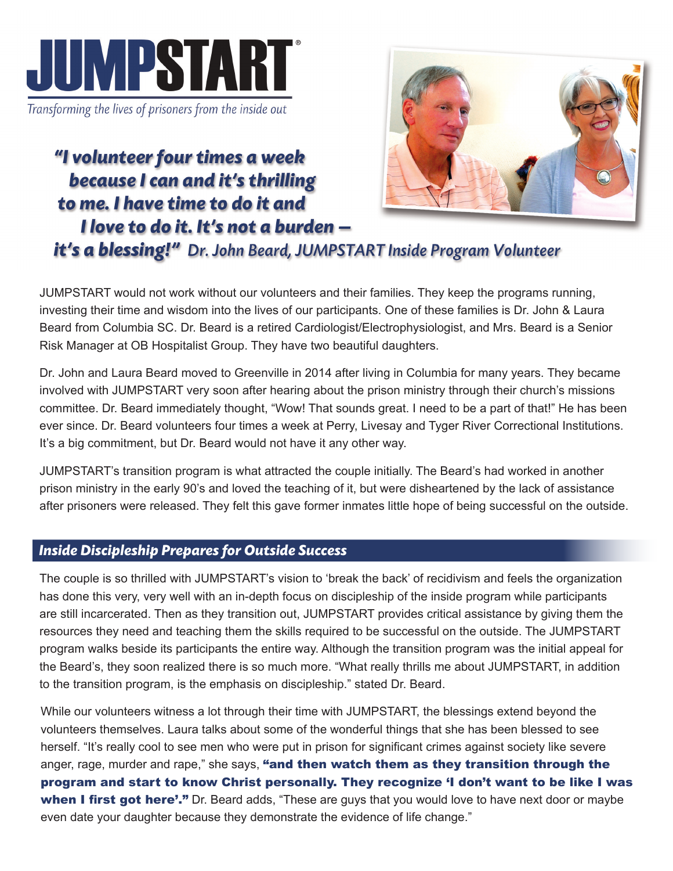

Transforming the lives of prisoners from the inside out

"I volunteer four times a week because I can and it's thrilling to me. I have time to do it and I love to do it. It's not a burden –



## it's a blessing!" Dr. John Beard, JUMPSTART Inside Program Volunteer

JUMPSTART would not work without our volunteers and their families. They keep the programs running, investing their time and wisdom into the lives of our participants. One of these families is Dr. John & Laura Beard from Columbia SC. Dr. Beard is a retired Cardiologist/Electrophysiologist, and Mrs. Beard is a Senior Risk Manager at OB Hospitalist Group. They have two beautiful daughters.

Dr. John and Laura Beard moved to Greenville in 2014 after living in Columbia for many years. They became involved with JUMPSTART very soon after hearing about the prison ministry through their church's missions committee. Dr. Beard immediately thought, "Wow! That sounds great. I need to be a part of that!" He has been ever since. Dr. Beard volunteers four times a week at Perry, Livesay and Tyger River Correctional Institutions. It's a big commitment, but Dr. Beard would not have it any other way.

JUMPSTART's transition program is what attracted the couple initially. The Beard's had worked in another prison ministry in the early 90's and loved the teaching of it, but were disheartened by the lack of assistance after prisoners were released. They felt this gave former inmates little hope of being successful on the outside.

## *Inside Discipleship Prepares for Outside Success*

The couple is so thrilled with JUMPSTART's vision to 'break the back' of recidivism and feels the organization has done this very, very well with an in-depth focus on discipleship of the inside program while participants are still incarcerated. Then as they transition out, JUMPSTART provides critical assistance by giving them the resources they need and teaching them the skills required to be successful on the outside. The JUMPSTART program walks beside its participants the entire way. Although the transition program was the initial appeal for the Beard's, they soon realized there is so much more. "What really thrills me about JUMPSTART, in addition to the transition program, is the emphasis on discipleship." stated Dr. Beard.

While our volunteers witness a lot through their time with JUMPSTART, the blessings extend beyond the volunteers themselves. Laura talks about some of the wonderful things that she has been blessed to see herself. "It's really cool to see men who were put in prison for significant crimes against society like severe anger, rage, murder and rape," she says, "and then watch them as they transition through the program and start to know Christ personally. They recognize 'I don't want to be like I was when I first got here'." Dr. Beard adds, "These are guys that you would love to have next door or maybe even date your daughter because they demonstrate the evidence of life change."